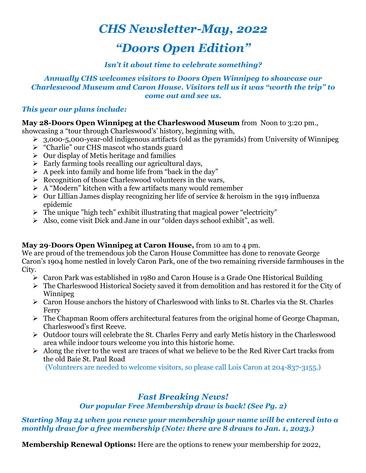# *CHS Newsletter-May, 2022*

# *"Doors Open Edition"*

# *Isn't it about time to celebrate something?*

#### *Annually CHS welcomes visitors to Doors Open Winnipeg to showcase our Charleswood Museum and Caron House. Visitors tell us it was "worth the trip" to come out and see us.*

#### *This year our plans include:*

#### **May 28-Doors Open Winnipeg at the Charleswood Museum** from Noon to 3:20 pm.,

showcasing a "tour through Charleswood's' history, beginning with,

- $\geq 3.000$ -5,000-year-old indigenous artifacts (old as the pyramids) from University of Winnipeg
- Ø "Charlie" our CHS mascot who stands guard
- $\triangleright$  Our display of Metis heritage and families
- $\triangleright$  Early farming tools recalling our agricultural days,
- $\triangleright$  A peek into family and home life from "back in the day"
- $\triangleright$  Recognition of those Charleswood volunteers in the wars,
- $\triangleright$  A "Modern" kitchen with a few artifacts many would remember
- $\triangleright$  Our Lillian James display recognizing her life of service & heroism in the 1919 influenza epidemic
- $\triangleright$  The unique "high tech" exhibit illustrating that magical power "electricity"
- Ø Also, come visit Dick and Jane in our "olden days school exhibit", as well.

# **May 29**-**Doors Open Winnipeg at Caron House,** from 10 am to 4 pm.

We are proud of the tremendous job the Caron House Committee has done to renovate George Caron's 1904 home nestled in lovely Caron Park, one of the two remaining riverside farmhouses in the City.

- $\triangleright$  Caron Park was established in 1980 and Caron House is a Grade One Historical Building
- $\triangleright$  The Charleswood Historical Society saved it from demolition and has restored it for the City of Winnipeg
- $\triangleright$  Caron House anchors the history of Charleswood with links to St. Charles via the St. Charles Ferry
- $\triangleright$  The Chapman Room offers architectural features from the original home of George Chapman, Charleswood's first Reeve.
- $\triangleright$  Outdoor tours will celebrate the St. Charles Ferry and early Metis history in the Charleswood area while indoor tours welcome you into this historic home.
- $\triangleright$  Along the river to the west are traces of what we believe to be the Red River Cart tracks from the old Baie St. Paul Road

(Volunteers are needed to welcome visitors, so please call Lois Caron at 204-837-3155.)

# *Fast Breaking News!*

# *Our popular Free Membership draw is back! (See Pg. 2)*

#### *Starting May 24 when you renew your membership your name will be entered into a monthly draw for a free membership (Note: there are 8 draws to Jan. 1, 2023.)*

**Membership Renewal Options:** Here are the options to renew your membership for 2022,